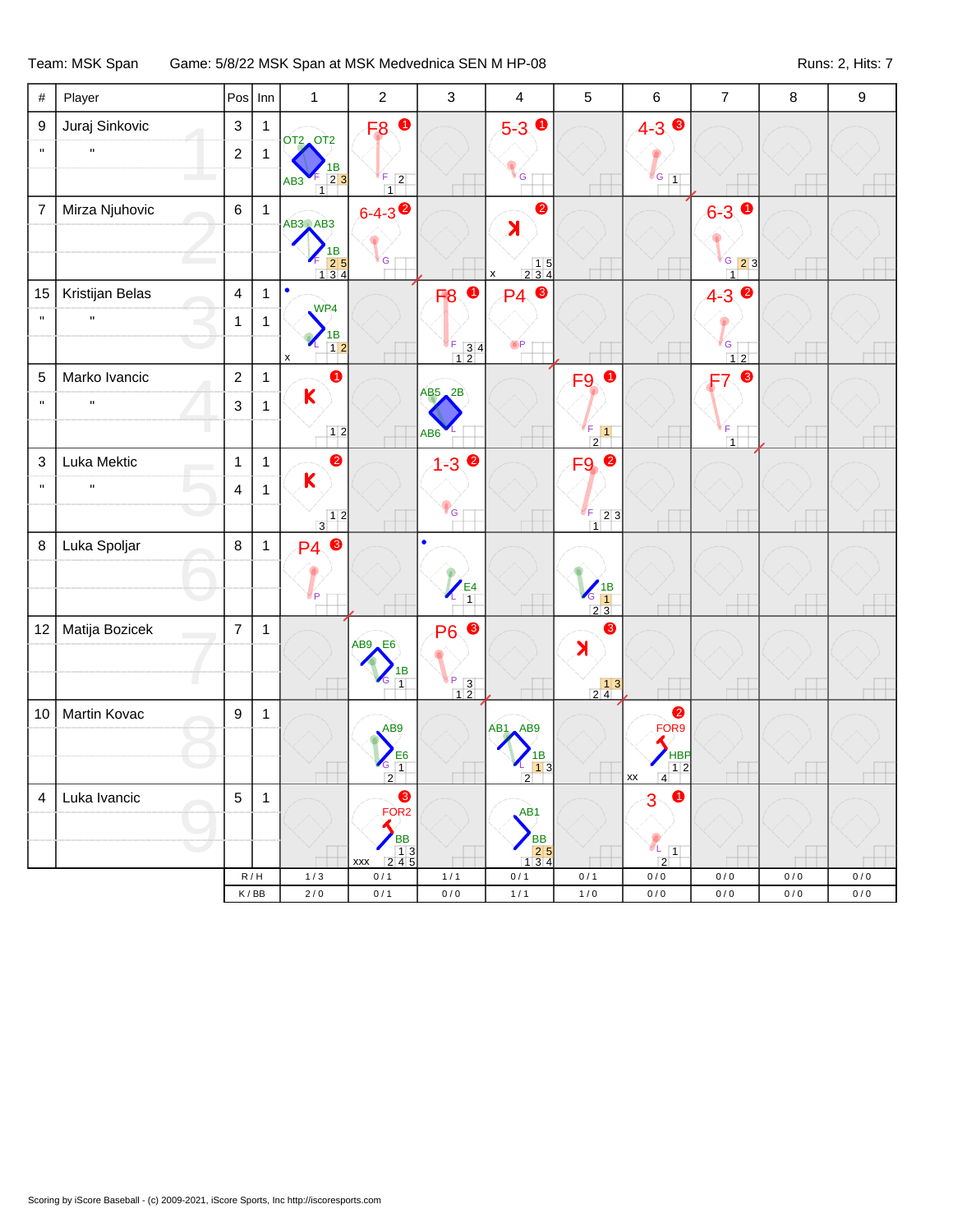Team: MSK Span Game: 5/8/22 MSK Span at MSK Medvednica SEN M HP-08 Runs: 2, Hits: 7

| $\#$               | Player          | Pos                     | Inn                         | 1                                                               | $\mathbf 2$                                                                                                                                                                                                                                                                                                                                                                                                                        | $\mathfrak{Z}$                                          | $\overline{4}$                                | 5                                                                   | $\,6\,$                                  | $\boldsymbol{7}$         | $\bf 8$ | 9         |
|--------------------|-----------------|-------------------------|-----------------------------|-----------------------------------------------------------------|------------------------------------------------------------------------------------------------------------------------------------------------------------------------------------------------------------------------------------------------------------------------------------------------------------------------------------------------------------------------------------------------------------------------------------|---------------------------------------------------------|-----------------------------------------------|---------------------------------------------------------------------|------------------------------------------|--------------------------|---------|-----------|
| 9                  | Juraj Sinkovic  | $\mathsf 3$             | 1                           | <b>OT2</b> OT2                                                  | $\bullet$<br>F <sub>8</sub>                                                                                                                                                                                                                                                                                                                                                                                                        |                                                         | $5-3$ 0                                       |                                                                     | $4 - 3$ $\bullet$                        |                          |         |           |
| $\mathbf{u}$       |                 | $\overline{c}$          | $\mathbf{1}$                |                                                                 |                                                                                                                                                                                                                                                                                                                                                                                                                                    |                                                         |                                               |                                                                     |                                          |                          |         |           |
|                    |                 |                         |                             | $\frac{1B}{23}$<br>AB <sub>3</sub><br>$\overline{1}$            | F<br>$\sqrt{2}$<br>$\overline{1}$                                                                                                                                                                                                                                                                                                                                                                                                  |                                                         | G                                             |                                                                     | $\sqrt{G}$ 1                             |                          |         |           |
| $\overline{7}$     | Mirza Njuhovic  | $\,6\,$                 | $\mathbf{1}$                | AB3 AB3                                                         | $6 - 4 - 3$                                                                                                                                                                                                                                                                                                                                                                                                                        |                                                         | $\bullet$                                     |                                                                     |                                          | $6-3$ 0                  |         |           |
|                    |                 |                         |                             |                                                                 |                                                                                                                                                                                                                                                                                                                                                                                                                                    |                                                         | $\blacktriangleright$                         |                                                                     |                                          |                          |         |           |
|                    |                 |                         |                             | $\frac{1B}{25}$<br>134                                          | G                                                                                                                                                                                                                                                                                                                                                                                                                                  |                                                         | $\begin{array}{c} 15 \\ 234 \end{array}$<br>X |                                                                     |                                          | $G$ 23<br>$\overline{1}$ |         |           |
| 15                 | Kristijan Belas | $\overline{\mathbf{4}}$ | $\mathbf 1$                 | $\bullet$                                                       |                                                                                                                                                                                                                                                                                                                                                                                                                                    | $\bullet$<br>F <sub>8</sub>                             | $\bullet$<br>P4                               |                                                                     |                                          | $4-3$                    |         |           |
| $\mathbf{u}$       |                 | $\mathbf{1}$            | $\mathbf{1}$                | WP4                                                             |                                                                                                                                                                                                                                                                                                                                                                                                                                    |                                                         |                                               |                                                                     |                                          |                          |         |           |
|                    |                 |                         |                             | $\begin{array}{c} \n 1B \\  12\n \end{array}$<br>$\pmb{\times}$ |                                                                                                                                                                                                                                                                                                                                                                                                                                    | F.<br>$\begin{array}{c} 5 & 3 & 4 \\ 1 & 2 \end{array}$ | OP                                            |                                                                     |                                          | $'G$  <br>12             |         |           |
| 5                  | Marko Ivancic   | $\overline{2}$          | $\mathbf{1}$                | 0                                                               |                                                                                                                                                                                                                                                                                                                                                                                                                                    |                                                         |                                               | $\bullet$<br>F9                                                     |                                          | $\bullet$<br>F7          |         |           |
| $\pmb{\mathsf{H}}$ | $\mathbf{H}$    | 3                       | $\mathbf{1}$                | $\mathsf K$                                                     |                                                                                                                                                                                                                                                                                                                                                                                                                                    | $AB5$ <sub>2</sub> B                                    |                                               |                                                                     |                                          |                          |         |           |
|                    |                 |                         |                             | 12                                                              |                                                                                                                                                                                                                                                                                                                                                                                                                                    | AB <sub>6</sub>                                         |                                               | F<br>$\vert$ 1<br>$\overline{2}$                                    |                                          | F<br>$\overline{1}$      |         |           |
| 3                  | Luka Mektic     | $\mathbf{1}$            | $\mathbf{1}$                | 2                                                               |                                                                                                                                                                                                                                                                                                                                                                                                                                    | 2<br>$1 - 3$                                            |                                               | F9 <sup>0</sup>                                                     |                                          |                          |         |           |
| $\mathbf{u}$       | $\mathbf{u}$    | 4                       | $\mathbf{1}$                | $\mathsf{K}$                                                    |                                                                                                                                                                                                                                                                                                                                                                                                                                    |                                                         |                                               |                                                                     |                                          |                          |         |           |
|                    |                 |                         |                             | $\begin{array}{c c} & 1 & 2 \\ \hline 3 & & \end{array}$        |                                                                                                                                                                                                                                                                                                                                                                                                                                    | G                                                       |                                               | $\frac{F}{4}$ 2 3<br>$\overline{1}$                                 |                                          |                          |         |           |
| 8                  | Luka Spoljar    | $\,8\,$                 | $\mathbf{1}$                | <b>P4</b>                                                       |                                                                                                                                                                                                                                                                                                                                                                                                                                    |                                                         |                                               |                                                                     |                                          |                          |         |           |
|                    |                 |                         |                             |                                                                 |                                                                                                                                                                                                                                                                                                                                                                                                                                    |                                                         |                                               |                                                                     |                                          |                          |         |           |
|                    |                 |                         |                             | P                                                               |                                                                                                                                                                                                                                                                                                                                                                                                                                    | $\frac{E4}{1}$                                          |                                               | $\begin{array}{c} \n\sqrt{18} \\ \sqrt{18} \\ 23\n\end{array}$<br>G |                                          |                          |         |           |
| 12                 | Matija Bozicek  | $\overline{7}$          | $\mathbf{1}$                |                                                                 |                                                                                                                                                                                                                                                                                                                                                                                                                                    | ❸<br>P <sub>6</sub>                                     |                                               | ❸                                                                   |                                          |                          |         |           |
|                    |                 |                         |                             |                                                                 | $AB9$ <sub><math>E6</math></sub>                                                                                                                                                                                                                                                                                                                                                                                                   |                                                         |                                               | $\blacktriangleright$                                               |                                          |                          |         |           |
|                    |                 |                         |                             |                                                                 | $\frac{1B}{1}$                                                                                                                                                                                                                                                                                                                                                                                                                     | P<br>$\begin{array}{c} P & 3 \\ 1 & 2 \end{array}$      |                                               | $\begin{array}{c c} & 13 \\ 24 \end{array}$                         |                                          |                          |         |           |
| 10                 | Martin Kovac    | $\boldsymbol{9}$        | $\mathbf{1}$                |                                                                 |                                                                                                                                                                                                                                                                                                                                                                                                                                    |                                                         |                                               |                                                                     | $\bullet$                                |                          |         |           |
|                    |                 |                         |                             |                                                                 | AB9                                                                                                                                                                                                                                                                                                                                                                                                                                |                                                         | AB1 AB9                                       |                                                                     | FOR9                                     |                          |         |           |
|                    |                 |                         |                             |                                                                 | $\frac{E6}{1}$<br>G<br>$\overline{2}$                                                                                                                                                                                                                                                                                                                                                                                              |                                                         | 1B<br>$1\overline{3}$<br>$\overline{2}$       |                                                                     | <b>HBP</b><br>12<br>$\overline{4}$<br>XX |                          |         |           |
| $\overline{4}$     | Luka Ivancic    | $\,$ 5 $\,$             | $\mathbf{1}$                |                                                                 | ❸                                                                                                                                                                                                                                                                                                                                                                                                                                  |                                                         |                                               |                                                                     | $\bullet$<br>3                           |                          |         |           |
|                    |                 |                         |                             |                                                                 | FOR <sub>2</sub>                                                                                                                                                                                                                                                                                                                                                                                                                   |                                                         | AB1                                           |                                                                     |                                          |                          |         |           |
|                    |                 |                         |                             |                                                                 | <b>BB</b><br>$\begin{array}{@{}c@{\hspace{1em}}c@{\hspace{1em}}c@{\hspace{1em}}c@{\hspace{1em}}c@{\hspace{1em}}c@{\hspace{1em}}c@{\hspace{1em}}c@{\hspace{1em}}c@{\hspace{1em}}c@{\hspace{1em}}c@{\hspace{1em}}c@{\hspace{1em}}c@{\hspace{1em}}c@{\hspace{1em}}c@{\hspace{1em}}c@{\hspace{1em}}c@{\hspace{1em}}c@{\hspace{1em}}c@{\hspace{1em}}c@{\hspace{1em}}c@{\hspace{1em}}c@{\hspace{1em}}c@{\hspace{1em}}c@{\hspace{$<br>XXX |                                                         | BB<br>134                                     |                                                                     | $\frac{2}{\sqrt{1}}$<br>$\overline{2}$   |                          |         |           |
|                    |                 |                         | R/H                         | $1/3$                                                           | 0/1                                                                                                                                                                                                                                                                                                                                                                                                                                | $1/1$                                                   | 0/1                                           | 0/1                                                                 | $0/0$                                    | 0/0                      | 0/0     | 0/0       |
|                    |                 |                         | $\mathsf K\,/\,\mathsf{BB}$ | $2\,/\,0$                                                       | $0/1$                                                                                                                                                                                                                                                                                                                                                                                                                              | $0\,/\,0$                                               | $1/1$                                         | $1/0$                                                               | $0\,/\,0$                                | $0/0$                    | 0/0     | $0\,/\,0$ |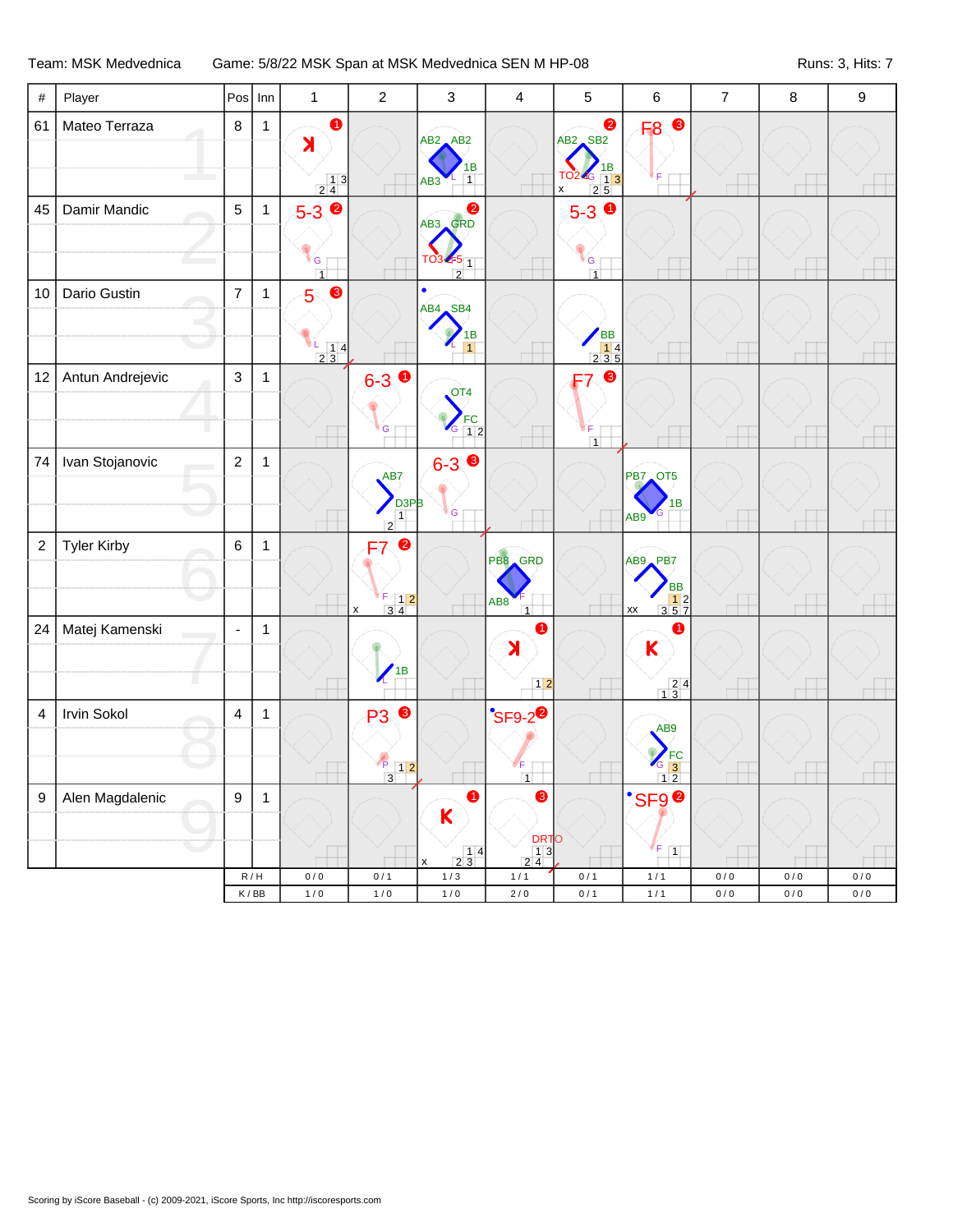## Team: MSK Medvednica Game: 5/8/22 MSK Span at MSK Medvednica SEN M HP-08 Runs: 3, Hits: 7

| $\#$             | Player             |                          | $Pos$ Inn                          | $\mathbf{1}$                                                                              | $\overline{c}$                                                                                             | 3                                                                               | 4                                                      | $\,$ 5 $\,$                                                   | $\,6\,$                                                                                                                         | $\overline{7}$ | $\,8\,$ | $\mathsf g$ |
|------------------|--------------------|--------------------------|------------------------------------|-------------------------------------------------------------------------------------------|------------------------------------------------------------------------------------------------------------|---------------------------------------------------------------------------------|--------------------------------------------------------|---------------------------------------------------------------|---------------------------------------------------------------------------------------------------------------------------------|----------------|---------|-------------|
| 61               | Mateo Terraza      | $\bf 8$                  | $\mathbf 1$                        | $\bullet$<br>$\blacktriangleright$<br>$\begin{array}{c c} & 1 & 3 \\ 2 & 4 & \end{array}$ |                                                                                                            | $AB2$ $AB2$<br>1B<br>$\overline{1}$<br>AB3                                      |                                                        | 2<br>$AB2$ SB2<br>1В<br>$TO2-G$<br>13<br>$2\overline{5}$<br>X | F8 <sup>0</sup>                                                                                                                 |                |         |             |
| 45               | Damir Mandic       | $\overline{5}$           | 1                                  | $5-3$ $\bullet$<br>G<br>$\overline{1}$                                                    |                                                                                                            | 2<br>AB3 GRD<br>$TO34 - 5$ <sub>1</sub><br>$\overline{2}$                       |                                                        | $5-3$ 0<br><b>G</b><br>$\overline{1}$                         |                                                                                                                                 |                |         |             |
| 10               | Dario Gustin       | $\overline{7}$           | 1                                  | ❸<br>5<br>$\begin{array}{ c c }\n \hline\n 2 & 3\n \end{array}$<br>L,                     |                                                                                                            | $\bullet$<br>AB4 SB4<br>1Β                                                      |                                                        | BB<br>235                                                     |                                                                                                                                 |                |         |             |
| 12               | Antun Andrejevic   | $\mathbf{3}$             | 1                                  |                                                                                           | $6 - 3$<br>G                                                                                               | OT <sub>4</sub><br>$\begin{bmatrix} FC \\ 1 & 2 \end{bmatrix}$<br>$\mathcal{G}$ |                                                        | $\bullet$<br>F<br>$\overline{1}$                              |                                                                                                                                 |                |         |             |
| 74               | Ivan Stojanovic    | $\boldsymbol{2}$         | 1                                  |                                                                                           | AB7<br>D <sub>3P</sub> B<br>$\vert$ 1<br>$\overline{2}$                                                    | $6 - 3$<br>G                                                                    |                                                        |                                                               | PB7 OT5<br>1B<br>AB9                                                                                                            |                |         |             |
| $\overline{c}$   | <b>Tyler Kirby</b> | $\,6\,$                  | 1                                  |                                                                                           | $\bullet$<br>F7<br>$\begin{array}{ c c c }\n\hline\nF & 1 & 2 \\ \hline\n3 & 4 & \hline\n\end{array}$<br>x |                                                                                 | PB8 GRD<br>AB8<br>$\overline{1}$                       |                                                               | AB9 PB7<br><b>BB</b><br>$\begin{array}{ c c c }\n\hline\n3 & 5 & 7 \\ \hline\n3 & 5 & 7\n\end{array}$<br>$\mathsf{X}\mathsf{X}$ | <b>TIM</b>     |         |             |
| 24               | Matej Kamenski     | $\overline{\phantom{a}}$ | 1                                  |                                                                                           | 1B                                                                                                         |                                                                                 | 0<br>$\blacktriangleright$<br>$12$                     |                                                               | 0<br>$\mathsf K$<br>$\begin{array}{ c c }\n 2 & 4 \\  \hline\n 1 & 3\n \end{array}$                                             |                |         |             |
| 4                | Irvin Sokol        | $\overline{4}$           | $\mathbf 1$                        |                                                                                           | <b>P3 ®</b><br>$\sqrt{P}$<br>$\boxed{12}$<br>$\overline{3}$                                                |                                                                                 | $SF9-2$<br>7F<br>$\overline{1}$                        |                                                               | AB9<br>$rac{FC}{3}$<br>12                                                                                                       |                |         |             |
| $\boldsymbol{9}$ | Alen Magdalenic    | $\boldsymbol{9}$         | 1                                  |                                                                                           |                                                                                                            | $\bullet$<br>$\mathbf K$                                                        | ❸<br><b>DRTO</b>                                       |                                                               | <b>SF9<sup>0</sup></b><br>∛F.<br>$\boxed{1}$                                                                                    |                |         |             |
|                  |                    |                          | $\mathsf R\,/\,\mathsf H$          | $0/0$                                                                                     | 0/1                                                                                                        | $\frac{14}{23}$<br>$\pmb{\mathsf{x}}$<br>$1/3$                                  | $\begin{array}{c c} 1 & 3 \\ 2 & 4 \end{array}$<br>1/1 | 0/1                                                           | $1/1$                                                                                                                           | $0\,/\,0$      | 0/0     | $0\,/\,0$   |
|                  |                    |                          | $\mathsf K$ / $\mathsf B\mathsf B$ | 1/0                                                                                       | 1/0                                                                                                        | $1/0$                                                                           | $2/0$                                                  | 0/1                                                           | $1/1$                                                                                                                           | $0/0$          | 0/0     | $0/0$       |